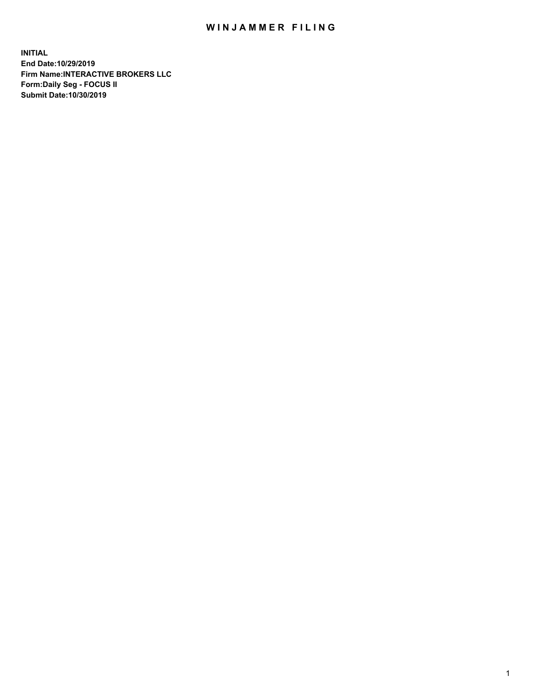## WIN JAMMER FILING

**INITIAL End Date:10/29/2019 Firm Name:INTERACTIVE BROKERS LLC Form:Daily Seg - FOCUS II Submit Date:10/30/2019**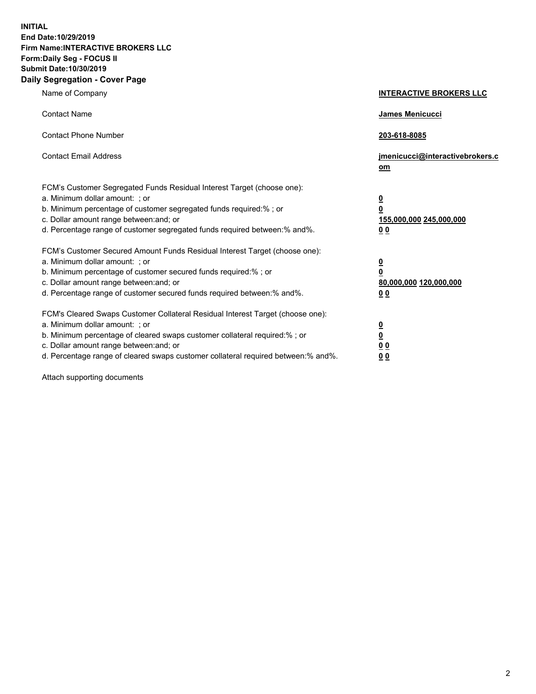**INITIAL End Date:10/29/2019 Firm Name:INTERACTIVE BROKERS LLC Form:Daily Seg - FOCUS II Submit Date:10/30/2019 Daily Segregation - Cover Page**

| Name of Company                                                                                                                                                                                                                                                                                                                | <b>INTERACTIVE BROKERS LLC</b>                                                                  |
|--------------------------------------------------------------------------------------------------------------------------------------------------------------------------------------------------------------------------------------------------------------------------------------------------------------------------------|-------------------------------------------------------------------------------------------------|
| <b>Contact Name</b>                                                                                                                                                                                                                                                                                                            | James Menicucci                                                                                 |
| <b>Contact Phone Number</b>                                                                                                                                                                                                                                                                                                    | 203-618-8085                                                                                    |
| <b>Contact Email Address</b>                                                                                                                                                                                                                                                                                                   | jmenicucci@interactivebrokers.c<br>om                                                           |
| FCM's Customer Segregated Funds Residual Interest Target (choose one):<br>a. Minimum dollar amount: ; or<br>b. Minimum percentage of customer segregated funds required:%; or<br>c. Dollar amount range between: and; or<br>d. Percentage range of customer segregated funds required between:% and%.                          | $\overline{\mathbf{0}}$<br>$\overline{\mathbf{0}}$<br>155,000,000 245,000,000<br>0 <sub>0</sub> |
| FCM's Customer Secured Amount Funds Residual Interest Target (choose one):<br>a. Minimum dollar amount: ; or<br>b. Minimum percentage of customer secured funds required:% ; or<br>c. Dollar amount range between: and; or<br>d. Percentage range of customer secured funds required between:% and%.                           | $\overline{\mathbf{0}}$<br>$\overline{\mathbf{0}}$<br>80,000,000 120,000,000<br>0 <sub>0</sub>  |
| FCM's Cleared Swaps Customer Collateral Residual Interest Target (choose one):<br>a. Minimum dollar amount: ; or<br>b. Minimum percentage of cleared swaps customer collateral required:% ; or<br>c. Dollar amount range between: and; or<br>d. Percentage range of cleared swaps customer collateral required between:% and%. | $\overline{\mathbf{0}}$<br>$\underline{\mathbf{0}}$<br>0 <sub>0</sub><br>0 <sub>0</sub>         |

Attach supporting documents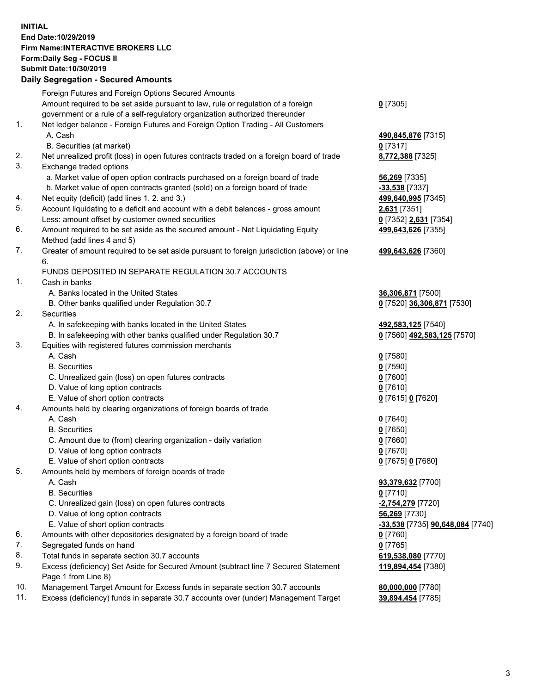## **INITIAL End Date:10/29/2019 Firm Name:INTERACTIVE BROKERS LLC Form:Daily Seg - FOCUS II Submit Date:10/30/2019 Daily Segregation - Secured Amounts**

|          | Daily Segregation - Secured Amounts                                                         |                                          |
|----------|---------------------------------------------------------------------------------------------|------------------------------------------|
|          | Foreign Futures and Foreign Options Secured Amounts                                         |                                          |
|          | Amount required to be set aside pursuant to law, rule or regulation of a foreign            | $0$ [7305]                               |
|          | government or a rule of a self-regulatory organization authorized thereunder                |                                          |
| 1.       | Net ledger balance - Foreign Futures and Foreign Option Trading - All Customers             |                                          |
|          | A. Cash                                                                                     | 490,845,876 [7315]                       |
|          | B. Securities (at market)                                                                   | $0$ [7317]                               |
| 2.       | Net unrealized profit (loss) in open futures contracts traded on a foreign board of trade   | 8,772,388 [7325]                         |
| 3.       | Exchange traded options                                                                     |                                          |
|          | a. Market value of open option contracts purchased on a foreign board of trade              | <b>56,269</b> [7335]                     |
|          | b. Market value of open contracts granted (sold) on a foreign board of trade                | -33,538 [7337]                           |
| 4.       | Net equity (deficit) (add lines 1. 2. and 3.)                                               | 499,640,995 [7345]                       |
| 5.       | Account liquidating to a deficit and account with a debit balances - gross amount           | 2,631 [7351]                             |
|          | Less: amount offset by customer owned securities                                            | 0 [7352] 2,631 [7354]                    |
| 6.       | Amount required to be set aside as the secured amount - Net Liquidating Equity              | 499,643,626 [7355]                       |
|          | Method (add lines 4 and 5)                                                                  |                                          |
| 7.       | Greater of amount required to be set aside pursuant to foreign jurisdiction (above) or line | 499,643,626 [7360]                       |
|          | 6.                                                                                          |                                          |
|          | FUNDS DEPOSITED IN SEPARATE REGULATION 30.7 ACCOUNTS                                        |                                          |
| 1.       | Cash in banks                                                                               |                                          |
|          | A. Banks located in the United States                                                       | 36,306,871 [7500]                        |
|          | B. Other banks qualified under Regulation 30.7                                              | 0 [7520] 36,306,871 [7530]               |
| 2.       | <b>Securities</b>                                                                           |                                          |
|          | A. In safekeeping with banks located in the United States                                   | 492,583,125 [7540]                       |
|          | B. In safekeeping with other banks qualified under Regulation 30.7                          | 0 [7560] 492,583,125 [7570]              |
| 3.       | Equities with registered futures commission merchants                                       |                                          |
|          | A. Cash                                                                                     | $0$ [7580]                               |
|          | <b>B.</b> Securities                                                                        | $0$ [7590]                               |
|          | C. Unrealized gain (loss) on open futures contracts                                         | $0$ [7600]                               |
|          | D. Value of long option contracts                                                           | $0$ [7610]                               |
|          | E. Value of short option contracts                                                          | 0 [7615] 0 [7620]                        |
| 4.       | Amounts held by clearing organizations of foreign boards of trade                           |                                          |
|          | A. Cash                                                                                     | $0$ [7640]                               |
|          | <b>B.</b> Securities                                                                        | $0$ [7650]                               |
|          | C. Amount due to (from) clearing organization - daily variation                             | $0$ [7660]                               |
|          | D. Value of long option contracts                                                           | $0$ [7670]                               |
|          | E. Value of short option contracts                                                          | 0 [7675] 0 [7680]                        |
| 5.       | Amounts held by members of foreign boards of trade                                          |                                          |
|          | A. Cash                                                                                     | 93,379,632 [7700]                        |
|          | <b>B.</b> Securities                                                                        | $0$ [7710]                               |
|          | C. Unrealized gain (loss) on open futures contracts<br>D. Value of long option contracts    | -2,754,279 [7720]                        |
|          | E. Value of short option contracts                                                          | 56,269 [7730]                            |
|          |                                                                                             | -33,538 [7735] 90,648,084 [7740]         |
| 6.<br>7. | Amounts with other depositories designated by a foreign board of trade                      | $0$ [7760]                               |
| 8.       | Segregated funds on hand<br>Total funds in separate section 30.7 accounts                   | $0$ [7765]                               |
| 9.       | Excess (deficiency) Set Aside for Secured Amount (subtract line 7 Secured Statement         | 619,538,080 [7770]<br>119,894,454 [7380] |
|          | Page 1 from Line 8)                                                                         |                                          |
| 10.      | Management Target Amount for Excess funds in separate section 30.7 accounts                 | 80,000,000 [7780]                        |
| 11.      | Excess (deficiency) funds in separate 30.7 accounts over (under) Management Target          | 39,894,454 [7785]                        |
|          |                                                                                             |                                          |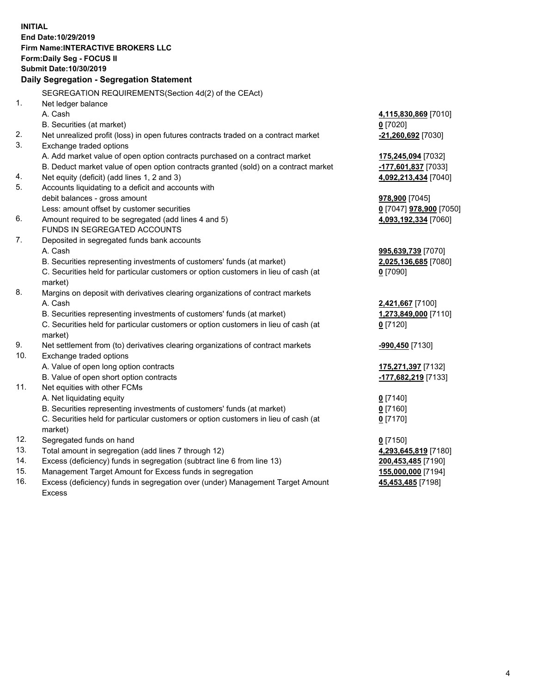**INITIAL End Date:10/29/2019 Firm Name:INTERACTIVE BROKERS LLC Form:Daily Seg - FOCUS II Submit Date:10/30/2019 Daily Segregation - Segregation Statement** SEGREGATION REQUIREMENTS(Section 4d(2) of the CEAct) 1. Net ledger balance A. Cash **4,115,830,869** [7010] B. Securities (at market) **0** [7020] 2. Net unrealized profit (loss) in open futures contracts traded on a contract market **-21,260,692** [7030] 3. Exchange traded options A. Add market value of open option contracts purchased on a contract market **175,245,094** [7032] B. Deduct market value of open option contracts granted (sold) on a contract market **-177,601,837** [7033] 4. Net equity (deficit) (add lines 1, 2 and 3) **4,092,213,434** [7040] 5. Accounts liquidating to a deficit and accounts with debit balances - gross amount **978,900** [7045] Less: amount offset by customer securities **0** [7047] **978,900** [7050] 6. Amount required to be segregated (add lines 4 and 5) **4,093,192,334** [7060] FUNDS IN SEGREGATED ACCOUNTS 7. Deposited in segregated funds bank accounts A. Cash **995,639,739** [7070] B. Securities representing investments of customers' funds (at market) **2,025,136,685** [7080] C. Securities held for particular customers or option customers in lieu of cash (at market) **0** [7090] 8. Margins on deposit with derivatives clearing organizations of contract markets A. Cash **2,421,667** [7100] B. Securities representing investments of customers' funds (at market) **1,273,849,000** [7110] C. Securities held for particular customers or option customers in lieu of cash (at market) **0** [7120] 9. Net settlement from (to) derivatives clearing organizations of contract markets **-990,450** [7130] 10. Exchange traded options A. Value of open long option contracts **175,271,397** [7132] B. Value of open short option contracts **-177,682,219** [7133] 11. Net equities with other FCMs A. Net liquidating equity **0** [7140] B. Securities representing investments of customers' funds (at market) **0** [7160] C. Securities held for particular customers or option customers in lieu of cash (at market) **0** [7170] 12. Segregated funds on hand **0** [7150] 13. Total amount in segregation (add lines 7 through 12) **4,293,645,819** [7180] 14. Excess (deficiency) funds in segregation (subtract line 6 from line 13) **200,453,485** [7190] 15. Management Target Amount for Excess funds in segregation **155,000,000** [7194] **45,453,485** [7198]

16. Excess (deficiency) funds in segregation over (under) Management Target Amount Excess